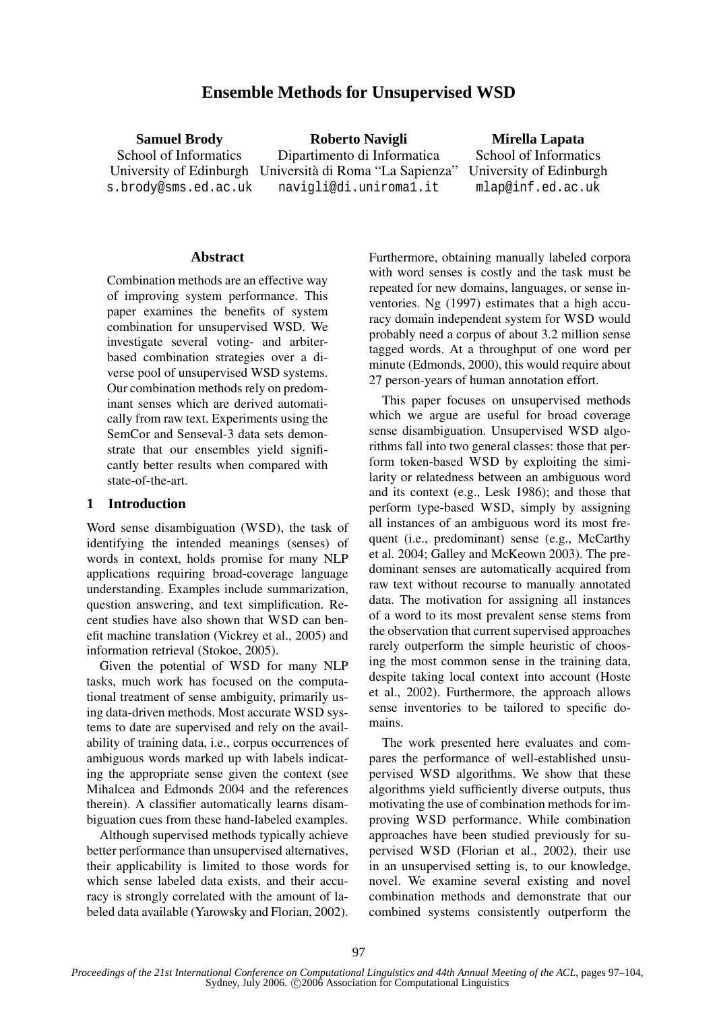# **Ensemble Methods for Unsupervised WSD**

**Samuel Brody** School of Informatics University of Edinburgh Università di Roma "La Sapienza" s.brody@sms.ed.ac.uk **Roberto Navigli** Dipartimento di Informatica navigli@di.uniroma1.it **Mirella Lapata** School of Informatics University of Edinburgh mlap@inf.ed.ac.uk

## **Abstract**

Combination methods are an effective way of improving system performance. This paper examines the benefits of system combination for unsupervised WSD. We investigate several voting- and arbiterbased combination strategies over a diverse pool of unsupervised WSD systems. Our combination methods rely on predominant senses which are derived automatically from raw text. Experiments using the SemCor and Senseval-3 data sets demonstrate that our ensembles yield significantly better results when compared with state-of-the-art.

### **1 Introduction**

Word sense disambiguation (WSD), the task of identifying the intended meanings (senses) of words in context, holds promise for many NLP applications requiring broad-coverage language understanding. Examples include summarization, question answering, and text simplification. Recent studies have also shown that WSD can benefit machine translation (Vickrey et al., 2005) and information retrieval (Stokoe, 2005).

Given the potential of WSD for many NLP tasks, much work has focused on the computational treatment of sense ambiguity, primarily using data-driven methods. Most accurate WSD systems to date are supervised and rely on the availability of training data, i.e., corpus occurrences of ambiguous words marked up with labels indicating the appropriate sense given the context (see Mihalcea and Edmonds 2004 and the references therein). A classifier automatically learns disambiguation cues from these hand-labeled examples.

Although supervised methods typically achieve better performance than unsupervised alternatives, their applicability is limited to those words for which sense labeled data exists, and their accuracy is strongly correlated with the amount of labeled data available (Yarowsky and Florian, 2002). Furthermore, obtaining manually labeled corpora with word senses is costly and the task must be repeated for new domains, languages, or sense inventories. Ng (1997) estimates that a high accuracy domain independent system for WSD would probably need a corpus of about 3.2 million sense tagged words. At a throughput of one word per minute (Edmonds, 2000), this would require about 27 person-years of human annotation effort.

This paper focuses on unsupervised methods which we argue are useful for broad coverage sense disambiguation. Unsupervised WSD algorithms fall into two general classes: those that perform token-based WSD by exploiting the similarity or relatedness between an ambiguous word and its context (e.g., Lesk 1986); and those that perform type-based WSD, simply by assigning all instances of an ambiguous word its most frequent (i.e., predominant) sense (e.g., McCarthy et al. 2004; Galley and McKeown 2003). The predominant senses are automatically acquired from raw text without recourse to manually annotated data. The motivation for assigning all instances of a word to its most prevalent sense stems from the observation that current supervised approaches rarely outperform the simple heuristic of choosing the most common sense in the training data, despite taking local context into account (Hoste et al., 2002). Furthermore, the approach allows sense inventories to be tailored to specific domains.

The work presented here evaluates and compares the performance of well-established unsupervised WSD algorithms. We show that these algorithms yield sufficiently diverse outputs, thus motivating the use of combination methods for improving WSD performance. While combination approaches have been studied previously for supervised WSD (Florian et al., 2002), their use in an unsupervised setting is, to our knowledge, novel. We examine several existing and novel combination methods and demonstrate that our combined systems consistently outperform the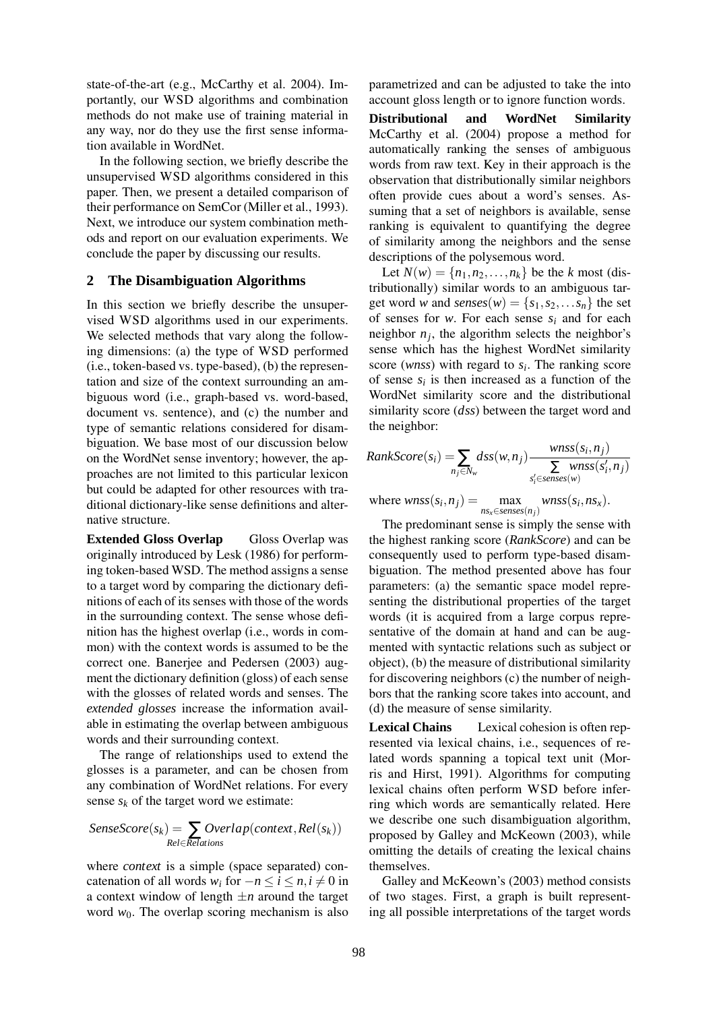state-of-the-art (e.g., McCarthy et al. 2004). Importantly, our WSD algorithms and combination methods do not make use of training material in any way, nor do they use the first sense information available in WordNet.

In the following section, we briefly describe the unsupervised WSD algorithms considered in this paper. Then, we present a detailed comparison of their performance on SemCor (Miller et al., 1993). Next, we introduce our system combination methods and report on our evaluation experiments. We conclude the paper by discussing our results.

### **2 The Disambiguation Algorithms**

In this section we briefly describe the unsupervised WSD algorithms used in our experiments. We selected methods that vary along the following dimensions: (a) the type of WSD performed (i.e., token-based vs. type-based), (b) the representation and size of the context surrounding an ambiguous word (i.e., graph-based vs. word-based, document vs. sentence), and (c) the number and type of semantic relations considered for disambiguation. We base most of our discussion below on the WordNet sense inventory; however, the approaches are not limited to this particular lexicon but could be adapted for other resources with traditional dictionary-like sense definitions and alternative structure.

**Extended Gloss Overlap** Gloss Overlap was originally introduced by Lesk (1986) for performing token-based WSD. The method assigns a sense to a target word by comparing the dictionary definitions of each of its senses with those of the words in the surrounding context. The sense whose definition has the highest overlap (i.e., words in common) with the context words is assumed to be the correct one. Banerjee and Pedersen (2003) augment the dictionary definition (gloss) of each sense with the glosses of related words and senses. The *extended glosses* increase the information available in estimating the overlap between ambiguous words and their surrounding context.

The range of relationships used to extend the glosses is a parameter, and can be chosen from any combination of WordNet relations. For every sense  $s_k$  of the target word we estimate:

$$
SenseScore(s_k) = \sum_{Rel \in Relations} Overlap(context, Rel(s_k))
$$

where *context* is a simple (space separated) concatenation of all words  $w_i$  for  $-n \le i \le n, i \ne 0$  in a context window of length  $\pm n$  around the target word  $w_0$ . The overlap scoring mechanism is also parametrized and can be adjusted to take the into account gloss length or to ignore function words.

**Distributional and WordNet Similarity** McCarthy et al. (2004) propose a method for automatically ranking the senses of ambiguous words from raw text. Key in their approach is the observation that distributionally similar neighbors often provide cues about a word's senses. Assuming that a set of neighbors is available, sense ranking is equivalent to quantifying the degree of similarity among the neighbors and the sense descriptions of the polysemous word.

Let  $N(w) = \{n_1, n_2, ..., n_k\}$  be the *k* most (distributionally) similar words to an ambiguous target word *w* and *senses*(*w*) = { $s_1, s_2, \ldots, s_n$ } the set of senses for  $w$ . For each sense  $s_i$  and for each neighbor  $n_j$ , the algorithm selects the neighbor's sense which has the highest WordNet similarity score (*wnss*) with regard to *s<sup>i</sup>* . The ranking score of sense  $s_i$  is then increased as a function of the WordNet similarity score and the distributional similarity score (*dss*) between the target word and the neighbor:

$$
RankScore(s_i) = \sum_{n_j \in N_w} dss(w, n_j) \frac{wnss(s_i, n_j)}{\sum_{s'_i \in senses(w)} wnss(s'_i, n_j)}
$$

where  $wnss(s_i, n_j) = \max_{ns_x \in senses(n_j)} wnss(s_i, ns_x)$ .

The predominant sense is simply the sense with the highest ranking score (*RankScore*) and can be consequently used to perform type-based disambiguation. The method presented above has four parameters: (a) the semantic space model representing the distributional properties of the target words (it is acquired from a large corpus representative of the domain at hand and can be augmented with syntactic relations such as subject or object), (b) the measure of distributional similarity for discovering neighbors (c) the number of neighbors that the ranking score takes into account, and (d) the measure of sense similarity.

**Lexical Chains** Lexical cohesion is often represented via lexical chains, i.e., sequences of related words spanning a topical text unit (Morris and Hirst, 1991). Algorithms for computing lexical chains often perform WSD before inferring which words are semantically related. Here we describe one such disambiguation algorithm, proposed by Galley and McKeown (2003), while omitting the details of creating the lexical chains themselves.

Galley and McKeown's (2003) method consists of two stages. First, a graph is built representing all possible interpretations of the target words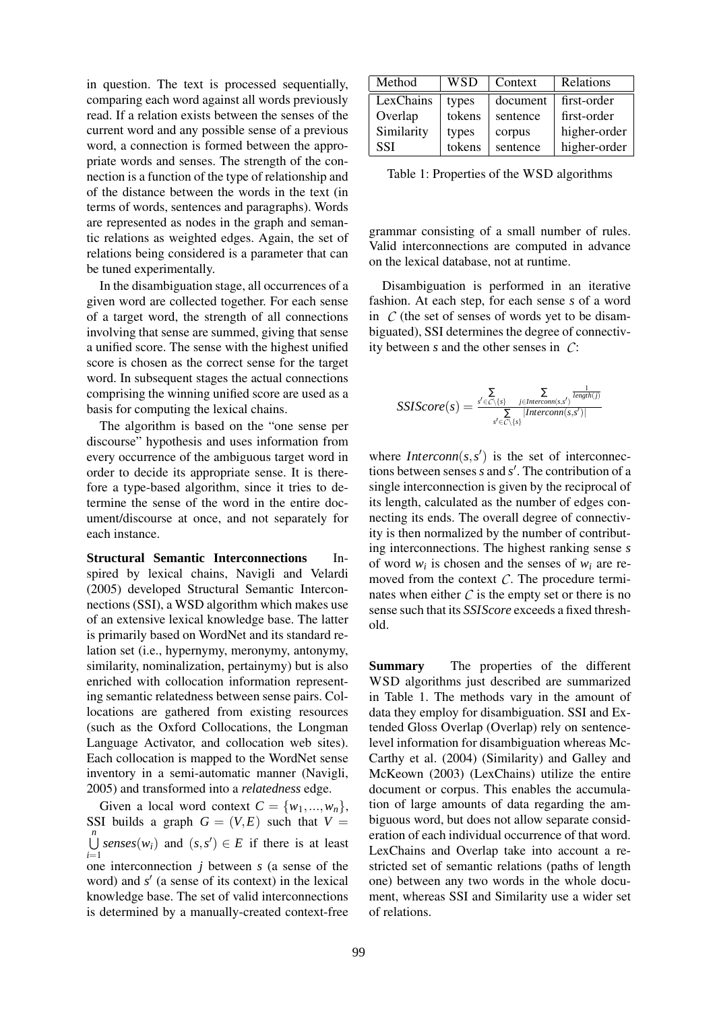in question. The text is processed sequentially, comparing each word against all words previously read. If a relation exists between the senses of the current word and any possible sense of a previous word, a connection is formed between the appropriate words and senses. The strength of the connection is a function of the type of relationship and of the distance between the words in the text (in terms of words, sentences and paragraphs). Words are represented as nodes in the graph and semantic relations as weighted edges. Again, the set of relations being considered is a parameter that can be tuned experimentally.

In the disambiguation stage, all occurrences of a given word are collected together. For each sense of a target word, the strength of all connections involving that sense are summed, giving that sense a unified score. The sense with the highest unified score is chosen as the correct sense for the target word. In subsequent stages the actual connections comprising the winning unified score are used as a basis for computing the lexical chains.

The algorithm is based on the "one sense per discourse" hypothesis and uses information from every occurrence of the ambiguous target word in order to decide its appropriate sense. It is therefore a type-based algorithm, since it tries to determine the sense of the word in the entire document/discourse at once, and not separately for each instance.

**Structural Semantic Interconnections** Inspired by lexical chains, Navigli and Velardi (2005) developed Structural Semantic Interconnections (SSI), a WSD algorithm which makes use of an extensive lexical knowledge base. The latter is primarily based on WordNet and its standard relation set (i.e., hypernymy, meronymy, antonymy, similarity, nominalization, pertainymy) but is also enriched with collocation information representing semantic relatedness between sense pairs. Collocations are gathered from existing resources (such as the Oxford Collocations, the Longman Language Activator, and collocation web sites). Each collocation is mapped to the WordNet sense inventory in a semi-automatic manner (Navigli, 2005) and transformed into a *relatedness* edge.

Given a local word context  $C = \{w_1, ..., w_n\}$ , SSI builds a graph  $G = (V, E)$  such that  $V =$  $\bigcup_{i=1}^{n}$  *senses*(*w<sub>i</sub>*) and  $(s, s') \in E$  if there is at least *i*=1 one interconnection *j* between *s* (a sense of the word) and  $s'$  (a sense of its context) in the lexical knowledge base. The set of valid interconnections is determined by a manually-created context-free

| Method     | <b>WSD</b> | Context  | Relations    |
|------------|------------|----------|--------------|
| LexChains  | types      | document | first-order  |
| Overlap    | tokens     | sentence | first-order  |
| Similarity | types      | corpus   | higher-order |
| SSI        | tokens     | sentence | higher-order |

Table 1: Properties of the WSD algorithms

grammar consisting of a small number of rules. Valid interconnections are computed in advance on the lexical database, not at runtime.

Disambiguation is performed in an iterative fashion. At each step, for each sense *s* of a word in  $C$  (the set of senses of words yet to be disambiguated), SSI determines the degree of connectivity between *s* and the other senses in *C*:

$$
SSIScore(s) = \frac{\sum\limits_{s' \in C \setminus \{s\}} \sum\limits_{j \in Interconn(s,s')} \frac{1}{length(j)}}{\sum\limits_{s' \in C \setminus \{s\}} |Interconn(s,s')|}
$$

where *Interconn*( $s$ , $s'$ ) is the set of interconnections between senses *s* and *s'*. The contribution of a single interconnection is given by the reciprocal of its length, calculated as the number of edges connecting its ends. The overall degree of connectivity is then normalized by the number of contributing interconnections. The highest ranking sense *s* of word  $w_i$  is chosen and the senses of  $w_i$  are removed from the context *C*. The procedure terminates when either  $C$  is the empty set or there is no sense such that its *SSIScore* exceeds a fixed threshold.

**Summary** The properties of the different WSD algorithms just described are summarized in Table 1. The methods vary in the amount of data they employ for disambiguation. SSI and Extended Gloss Overlap (Overlap) rely on sentencelevel information for disambiguation whereas Mc-Carthy et al. (2004) (Similarity) and Galley and McKeown (2003) (LexChains) utilize the entire document or corpus. This enables the accumulation of large amounts of data regarding the ambiguous word, but does not allow separate consideration of each individual occurrence of that word. LexChains and Overlap take into account a restricted set of semantic relations (paths of length one) between any two words in the whole document, whereas SSI and Similarity use a wider set of relations.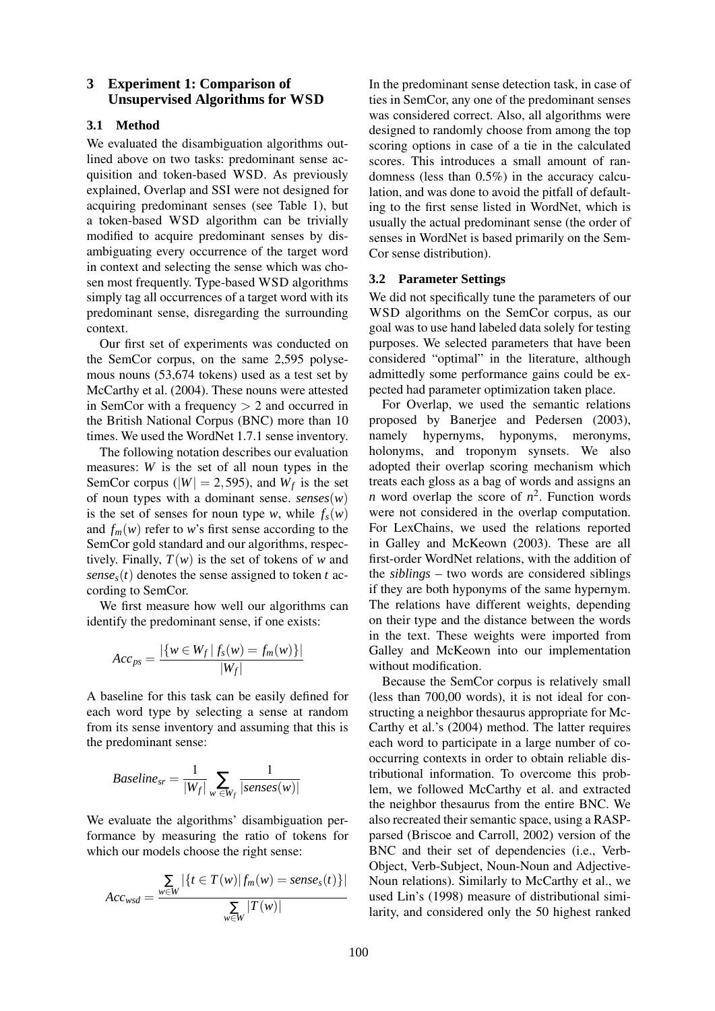## **3 Experiment 1: Comparison of Unsupervised Algorithms for WSD**

## **3.1 Method**

We evaluated the disambiguation algorithms outlined above on two tasks: predominant sense acquisition and token-based WSD. As previously explained, Overlap and SSI were not designed for acquiring predominant senses (see Table 1), but a token-based WSD algorithm can be trivially modified to acquire predominant senses by disambiguating every occurrence of the target word in context and selecting the sense which was chosen most frequently. Type-based WSD algorithms simply tag all occurrences of a target word with its predominant sense, disregarding the surrounding context.

Our first set of experiments was conducted on the SemCor corpus, on the same 2,595 polysemous nouns (53,674 tokens) used as a test set by McCarthy et al. (2004). These nouns were attested in SemCor with a frequency  $> 2$  and occurred in the British National Corpus (BNC) more than 10 times. We used the WordNet 1.7.1 sense inventory.

The following notation describes our evaluation measures: *W* is the set of all noun types in the SemCor corpus ( $|W| = 2,595$ ), and  $W_f$  is the set of noun types with a dominant sense.  $senses(w)$ is the set of senses for noun type *w*, while  $f_s(w)$ and  $f_m(w)$  refer to *w*'s first sense according to the SemCor gold standard and our algorithms, respectively. Finally,  $T(w)$  is the set of tokens of *w* and *sense*<sup>*s*(*t*)</sub> denotes the sense assigned to token *t* ac-</sup> cording to SemCor.

We first measure how well our algorithms can identify the predominant sense, if one exists:

$$
Acc_{ps} = \frac{|\{w \in W_f \mid f_s(w) = f_m(w)\}|}{|W_f|}
$$

A baseline for this task can be easily defined for each word type by selecting a sense at random from its sense inventory and assuming that this is the predominant sense:

$$
Baseline_{sr} = \frac{1}{|W_f|} \sum_{w \in W_f} \frac{1}{|senses(w)|}
$$

We evaluate the algorithms' disambiguation performance by measuring the ratio of tokens for which our models choose the right sense:

$$
Acc_{wsd} = \frac{\sum_{w \in W} |\{t \in T(w)| f_m(w) = sense_s(t)\}|}{\sum_{w \in W} |T(w)|}
$$

In the predominant sense detection task, in case of ties in SemCor, any one of the predominant senses was considered correct. Also, all algorithms were designed to randomly choose from among the top scoring options in case of a tie in the calculated scores. This introduces a small amount of randomness (less than 0.5%) in the accuracy calculation, and was done to avoid the pitfall of defaulting to the first sense listed in WordNet, which is usually the actual predominant sense (the order of senses in WordNet is based primarily on the Sem-Cor sense distribution).

#### **3.2 Parameter Settings**

We did not specifically tune the parameters of our WSD algorithms on the SemCor corpus, as our goal was to use hand labeled data solely for testing purposes. We selected parameters that have been considered "optimal" in the literature, although admittedly some performance gains could be expected had parameter optimization taken place.

For Overlap, we used the semantic relations proposed by Banerjee and Pedersen (2003), namely hypernyms, hyponyms, meronyms, holonyms, and troponym synsets. We also adopted their overlap scoring mechanism which treats each gloss as a bag of words and assigns an *n* word overlap the score of  $n^2$ . Function words were not considered in the overlap computation. For LexChains, we used the relations reported in Galley and McKeown (2003). These are all first-order WordNet relations, with the addition of the *siblings* – two words are considered siblings if they are both hyponyms of the same hypernym. The relations have different weights, depending on their type and the distance between the words in the text. These weights were imported from Galley and McKeown into our implementation without modification.

Because the SemCor corpus is relatively small (less than 700,00 words), it is not ideal for constructing a neighbor thesaurus appropriate for Mc-Carthy et al.'s (2004) method. The latter requires each word to participate in a large number of cooccurring contexts in order to obtain reliable distributional information. To overcome this problem, we followed McCarthy et al. and extracted the neighbor thesaurus from the entire BNC. We also recreated their semantic space, using a RASPparsed (Briscoe and Carroll, 2002) version of the BNC and their set of dependencies (i.e., Verb-Object, Verb-Subject, Noun-Noun and Adjective-Noun relations). Similarly to McCarthy et al., we used Lin's (1998) measure of distributional similarity, and considered only the 50 highest ranked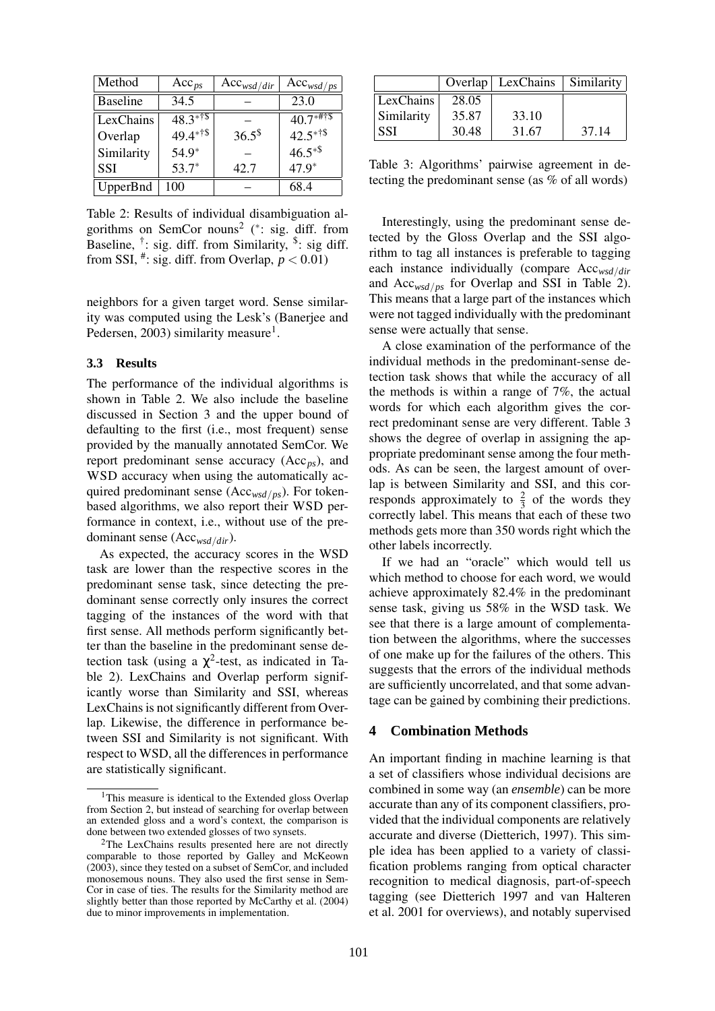| Method          | $Acc_{ps}$  | $Acc_{wsd/dir}$ | $Acc_{wsd/ps}$ |
|-----------------|-------------|-----------------|----------------|
| <b>Baseline</b> | 34.5        |                 | 23.0           |
| LexChains       | $48.3*18$   |                 | $40.7***$      |
| Overlap         | 49.4 * † \$ | $36.5^{\$}$     | $42.5***$      |
| Similarity      | 54.9*       |                 | $46.5^{*8}$    |
| <b>SSI</b>      | $53.7*$     | 42.7            | $47.9*$        |
| UpperBnd        | 100         |                 | 68.4           |

Table 2: Results of individual disambiguation algorithms on SemCor nouns<sup>2</sup> ( $*$ : sig. diff. from Baseline,  $\dagger$ : sig. diff. from Similarity,  $\delta$ : sig diff. from SSI,  $\text{\textsterling}$ : sig. diff. from Overlap,  $p < 0.01$ )

neighbors for a given target word. Sense similarity was computed using the Lesk's (Banerjee and Pedersen, 2003) similarity measure<sup>1</sup>.

#### **3.3 Results**

The performance of the individual algorithms is shown in Table 2. We also include the baseline discussed in Section 3 and the upper bound of defaulting to the first (i.e., most frequent) sense provided by the manually annotated SemCor. We report predominant sense accuracy (Acc*ps*), and WSD accuracy when using the automatically acquired predominant sense (Acc*wsd*/*ps*). For tokenbased algorithms, we also report their WSD performance in context, i.e., without use of the predominant sense (Acc*wsd*/*dir*).

As expected, the accuracy scores in the WSD task are lower than the respective scores in the predominant sense task, since detecting the predominant sense correctly only insures the correct tagging of the instances of the word with that first sense. All methods perform significantly better than the baseline in the predominant sense detection task (using a  $\chi^2$ -test, as indicated in Table 2). LexChains and Overlap perform significantly worse than Similarity and SSI, whereas LexChains is not significantly different from Overlap. Likewise, the difference in performance between SSI and Similarity is not significant. With respect to WSD, all the differences in performance are statistically significant.

|            |       | Overlap   LexChains   Similarity |       |
|------------|-------|----------------------------------|-------|
| LexChains  | 28.05 |                                  |       |
| Similarity | 35.87 | 33.10                            |       |
| SSI        | 30.48 | 31.67                            | 37.14 |

Table 3: Algorithms' pairwise agreement in detecting the predominant sense (as % of all words)

Interestingly, using the predominant sense detected by the Gloss Overlap and the SSI algorithm to tag all instances is preferable to tagging each instance individually (compare Acc*wsd*/*dir* and Acc*wsd*/*ps* for Overlap and SSI in Table 2). This means that a large part of the instances which were not tagged individually with the predominant sense were actually that sense.

A close examination of the performance of the individual methods in the predominant-sense detection task shows that while the accuracy of all the methods is within a range of 7%, the actual words for which each algorithm gives the correct predominant sense are very different. Table 3 shows the degree of overlap in assigning the appropriate predominant sense among the four methods. As can be seen, the largest amount of overlap is between Similarity and SSI, and this corresponds approximately to  $\frac{2}{3}$  of the words they correctly label. This means that each of these two methods gets more than 350 words right which the other labels incorrectly.

If we had an "oracle" which would tell us which method to choose for each word, we would achieve approximately 82.4% in the predominant sense task, giving us 58% in the WSD task. We see that there is a large amount of complementation between the algorithms, where the successes of one make up for the failures of the others. This suggests that the errors of the individual methods are sufficiently uncorrelated, and that some advantage can be gained by combining their predictions.

## **4 Combination Methods**

An important finding in machine learning is that a set of classifiers whose individual decisions are combined in some way (an *ensemble*) can be more accurate than any of its component classifiers, provided that the individual components are relatively accurate and diverse (Dietterich, 1997). This simple idea has been applied to a variety of classification problems ranging from optical character recognition to medical diagnosis, part-of-speech tagging (see Dietterich 1997 and van Halteren et al. 2001 for overviews), and notably supervised

<sup>&</sup>lt;sup>1</sup>This measure is identical to the Extended gloss Overlap from Section 2, but instead of searching for overlap between an extended gloss and a word's context, the comparison is done between two extended glosses of two synsets.

<sup>&</sup>lt;sup>2</sup>The LexChains results presented here are not directly comparable to those reported by Galley and McKeown (2003), since they tested on a subset of SemCor, and included monosemous nouns. They also used the first sense in Sem-Cor in case of ties. The results for the Similarity method are slightly better than those reported by McCarthy et al. (2004) due to minor improvements in implementation.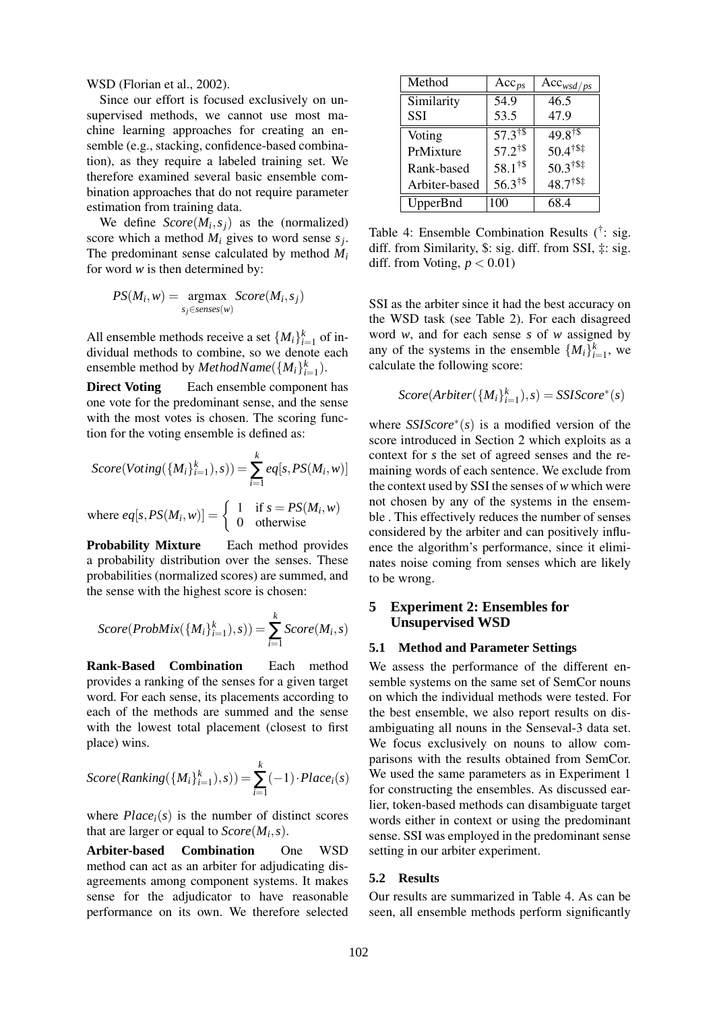WSD (Florian et al., 2002).

Since our effort is focused exclusively on unsupervised methods, we cannot use most machine learning approaches for creating an ensemble (e.g., stacking, confidence-based combination), as they require a labeled training set. We therefore examined several basic ensemble combination approaches that do not require parameter estimation from training data.

We define  $Score(M_i, s_j)$  as the (normalized) score which a method *M<sup>i</sup>* gives to word sense *s<sup>j</sup>* . The predominant sense calculated by method *M<sup>i</sup>* for word *w* is then determined by:

$$
PS(M_i, w) = \underset{s_j \in senses(w)}{\text{argmax}} Score(M_i, s_j)
$$

All ensemble methods receive a set  $\{M_i\}_{i=1}^k$  of individual methods to combine, so we denote each ensemble method by  $MethodName({M_i}_{i=1}^k)$ .

**Direct Voting** Each ensemble component has one vote for the predominant sense, and the sense with the most votes is chosen. The scoring function for the voting ensemble is defined as:

$$
Score(Voting({Mi}i=1k), s)) = \sum_{i=1}^{k}eq[s, PS(Mi, w)]
$$

where  $eq[s, PS(M_i, w)] = \begin{cases} 1 & \text{if } s = PS(M_i, w) \\ 0 & \text{otherwise} \end{cases}$ 0 otherwise

**Probability Mixture** Each method provides a probability distribution over the senses. These probabilities (normalized scores) are summed, and the sense with the highest score is chosen:

$$
Score(ProbMix(\{M_i\}_{i=1}^k), s)) = \sum_{i=1}^k Score(M_i, s)
$$

**Rank-Based Combination** Each method provides a ranking of the senses for a given target word. For each sense, its placements according to each of the methods are summed and the sense with the lowest total placement (closest to first place) wins.

$$
Score(Ranking(\lbrace M_i \rbrace_{i=1}^k), s)) = \sum_{i=1}^k (-1) \cdot Place_i(s)
$$

where  $Place_i(s)$  is the number of distinct scores that are larger or equal to *Score*(*M<sup>i</sup>* ,*s*).

**Arbiter-based Combination** One WSD method can act as an arbiter for adjudicating disagreements among component systems. It makes sense for the adjudicator to have reasonable performance on its own. We therefore selected

| Method        | $Acc_{ps}$         | $Acc_{wsd/ps}$              |
|---------------|--------------------|-----------------------------|
| Similarity    | 54.9               | 46.5                        |
| <b>SSI</b>    | 53.5               | 47.9                        |
| Voting        | $57.3^{15}$        | $49.8^{+8}$                 |
| PrMixture     | $57.2^{\dagger\$}$ | $50.4$ †\$‡                 |
| Rank-based    | $58.1^{+8}$        | $50.3^{\dagger\$ \ddagger}$ |
| Arbiter-based | $56.3^{\dagger\$}$ | $48.7^{\dagger\$ \ddagger}$ |
| UpperBnd      | 100                | 68.4                        |

Table 4: Ensemble Combination Results ( † : sig. diff. from Similarity, \$: sig. diff. from SSI, ‡: sig. diff. from Voting,  $p < 0.01$ )

SSI as the arbiter since it had the best accuracy on the WSD task (see Table 2). For each disagreed word *w*, and for each sense *s* of *w* assigned by any of the systems in the ensemble  $\{M_i\}_{i=1}^k$ , we calculate the following score:

$$
Score(Arbiter({Mi})i=1), s) = SSIScore*(s)
$$

where  $SSIScore^*(s)$  is a modified version of the score introduced in Section 2 which exploits as a context for *s* the set of agreed senses and the remaining words of each sentence. We exclude from the context used by SSI the senses of *w* which were not chosen by any of the systems in the ensemble . This effectively reduces the number of senses considered by the arbiter and can positively influence the algorithm's performance, since it eliminates noise coming from senses which are likely to be wrong.

## **5 Experiment 2: Ensembles for Unsupervised WSD**

## **5.1 Method and Parameter Settings**

We assess the performance of the different ensemble systems on the same set of SemCor nouns on which the individual methods were tested. For the best ensemble, we also report results on disambiguating all nouns in the Senseval-3 data set. We focus exclusively on nouns to allow comparisons with the results obtained from SemCor. We used the same parameters as in Experiment 1 for constructing the ensembles. As discussed earlier, token-based methods can disambiguate target words either in context or using the predominant sense. SSI was employed in the predominant sense setting in our arbiter experiment.

#### **5.2 Results**

Our results are summarized in Table 4. As can be seen, all ensemble methods perform significantly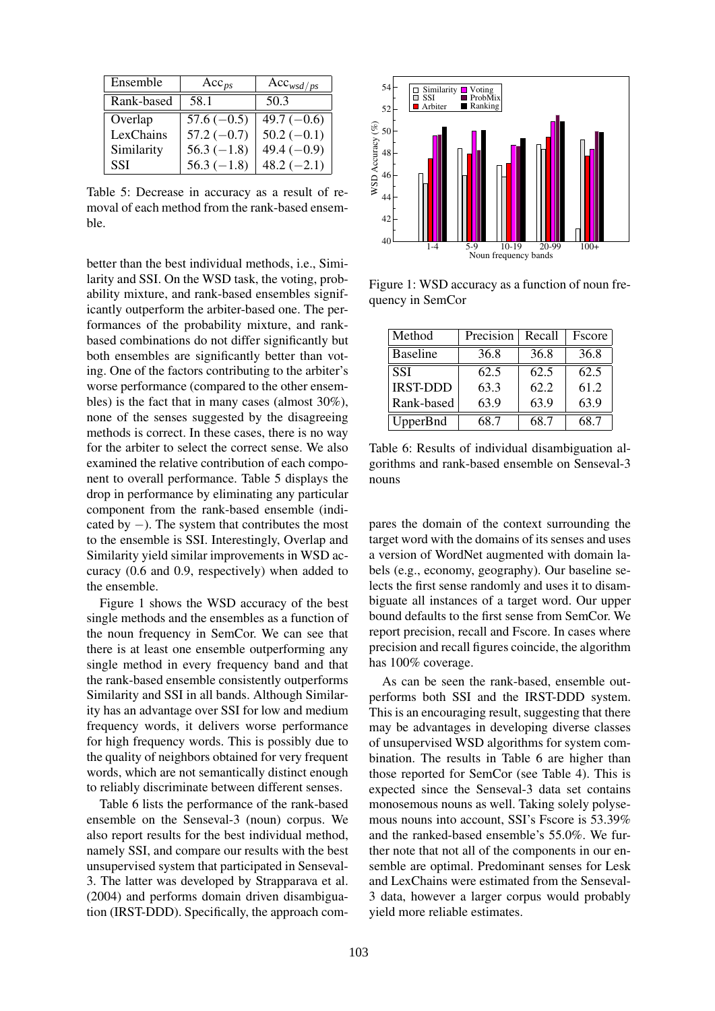| Ensemble   | $Acc_{ps}$   | $Acc_{wsd/ps}$ |
|------------|--------------|----------------|
| Rank-based | 58.1         | 50.3           |
| Overlap    | $57.6(-0.5)$ | 49.7 $(-0.6)$  |
| LexChains  | $57.2(-0.7)$ | $50.2(-0.1)$   |
| Similarity | $56.3(-1.8)$ | 49.4 $(-0.9)$  |
| <b>SSI</b> | $56.3(-1.8)$ | $48.2(-2.1)$   |

Table 5: Decrease in accuracy as a result of removal of each method from the rank-based ensemble.

better than the best individual methods, i.e., Similarity and SSI. On the WSD task, the voting, probability mixture, and rank-based ensembles significantly outperform the arbiter-based one. The performances of the probability mixture, and rankbased combinations do not differ significantly but both ensembles are significantly better than voting. One of the factors contributing to the arbiter's worse performance (compared to the other ensembles) is the fact that in many cases (almost 30%), none of the senses suggested by the disagreeing methods is correct. In these cases, there is no way for the arbiter to select the correct sense. We also examined the relative contribution of each component to overall performance. Table 5 displays the drop in performance by eliminating any particular component from the rank-based ensemble (indicated by  $-$ ). The system that contributes the most to the ensemble is SSI. Interestingly, Overlap and Similarity yield similar improvements in WSD accuracy (0.6 and 0.9, respectively) when added to the ensemble.

Figure 1 shows the WSD accuracy of the best single methods and the ensembles as a function of the noun frequency in SemCor. We can see that there is at least one ensemble outperforming any single method in every frequency band and that the rank-based ensemble consistently outperforms Similarity and SSI in all bands. Although Similarity has an advantage over SSI for low and medium frequency words, it delivers worse performance for high frequency words. This is possibly due to the quality of neighbors obtained for very frequent words, which are not semantically distinct enough to reliably discriminate between different senses.

Table 6 lists the performance of the rank-based ensemble on the Senseval-3 (noun) corpus. We also report results for the best individual method, namely SSI, and compare our results with the best unsupervised system that participated in Senseval-3. The latter was developed by Strapparava et al. (2004) and performs domain driven disambiguation (IRST-DDD). Specifically, the approach com-



Figure 1: WSD accuracy as a function of noun frequency in SemCor

| Method          | Precision | Recall | Fscore |
|-----------------|-----------|--------|--------|
| Baseline        | 36.8      | 36.8   | 36.8   |
| <b>SSI</b>      | 62.5      | 62.5   | 62.5   |
| <b>IRST-DDD</b> | 63.3      | 62.2   | 61.2   |
| Rank-based      | 63.9      | 63.9   | 63.9   |
| UpperBnd        | 68.7      | 68.7   | 68.7   |

Table 6: Results of individual disambiguation algorithms and rank-based ensemble on Senseval-3 nouns

pares the domain of the context surrounding the target word with the domains of its senses and uses a version of WordNet augmented with domain labels (e.g., economy, geography). Our baseline selects the first sense randomly and uses it to disambiguate all instances of a target word. Our upper bound defaults to the first sense from SemCor. We report precision, recall and Fscore. In cases where precision and recall figures coincide, the algorithm has 100% coverage.

As can be seen the rank-based, ensemble outperforms both SSI and the IRST-DDD system. This is an encouraging result, suggesting that there may be advantages in developing diverse classes of unsupervised WSD algorithms for system combination. The results in Table 6 are higher than those reported for SemCor (see Table 4). This is expected since the Senseval-3 data set contains monosemous nouns as well. Taking solely polysemous nouns into account, SSI's Fscore is 53.39% and the ranked-based ensemble's 55.0%. We further note that not all of the components in our ensemble are optimal. Predominant senses for Lesk and LexChains were estimated from the Senseval-3 data, however a larger corpus would probably yield more reliable estimates.